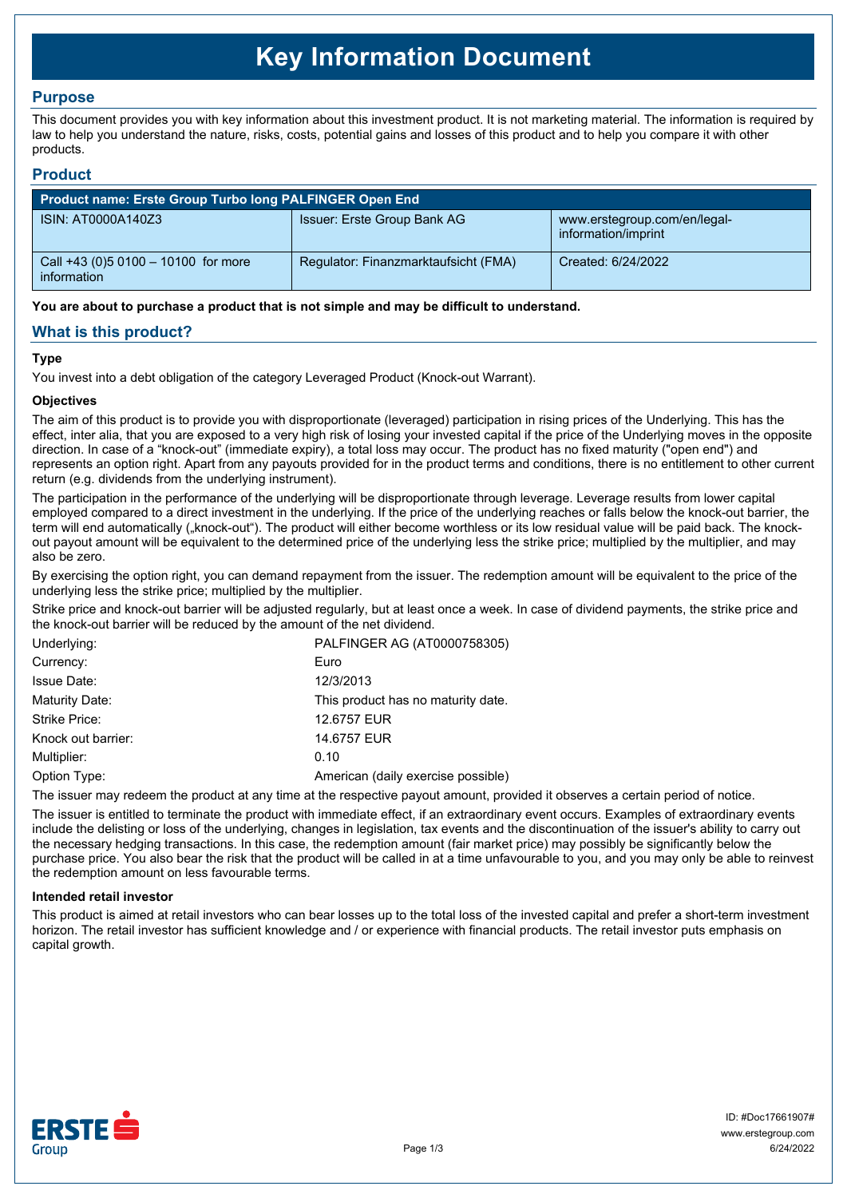# **Key Information Document**

# **Purpose**

This document provides you with key information about this investment product. It is not marketing material. The information is required by law to help you understand the nature, risks, costs, potential gains and losses of this product and to help you compare it with other products.

## **Product**

| <b>Product name: Erste Group Turbo long PALFINGER Open End</b> |                                      |                                                     |  |  |
|----------------------------------------------------------------|--------------------------------------|-----------------------------------------------------|--|--|
| ISIN: AT0000A140Z3                                             | Issuer: Erste Group Bank AG          | www.erstegroup.com/en/legal-<br>information/imprint |  |  |
| Call +43 (0) 5 0100 - 10100 for more<br>information            | Regulator: Finanzmarktaufsicht (FMA) | Created: 6/24/2022                                  |  |  |

**You are about to purchase a product that is not simple and may be difficult to understand.**

# **What is this product?**

## **Type**

You invest into a debt obligation of the category Leveraged Product (Knock-out Warrant).

## **Objectives**

The aim of this product is to provide you with disproportionate (leveraged) participation in rising prices of the Underlying. This has the effect, inter alia, that you are exposed to a very high risk of losing your invested capital if the price of the Underlying moves in the opposite direction. In case of a "knock-out" (immediate expiry), a total loss may occur. The product has no fixed maturity ("open end") and represents an option right. Apart from any payouts provided for in the product terms and conditions, there is no entitlement to other current return (e.g. dividends from the underlying instrument).

The participation in the performance of the underlying will be disproportionate through leverage. Leverage results from lower capital employed compared to a direct investment in the underlying. If the price of the underlying reaches or falls below the knock-out barrier, the term will end automatically ("knock-out"). The product will either become worthless or its low residual value will be paid back. The knockout payout amount will be equivalent to the determined price of the underlying less the strike price; multiplied by the multiplier, and may also be zero.

By exercising the option right, you can demand repayment from the issuer. The redemption amount will be equivalent to the price of the underlying less the strike price; multiplied by the multiplier.

Strike price and knock-out barrier will be adjusted regularly, but at least once a week. In case of dividend payments, the strike price and the knock-out barrier will be reduced by the amount of the net dividend.

| Underlying:        | PALFINGER AG (AT0000758305)        |
|--------------------|------------------------------------|
| Currency:          | Euro                               |
| <b>Issue Date:</b> | 12/3/2013                          |
| Maturity Date:     | This product has no maturity date. |
| Strike Price:      | 12.6757 EUR                        |
| Knock out barrier: | 14.6757 EUR                        |
| Multiplier:        | 0.10                               |
| Option Type:       | American (daily exercise possible) |

The issuer may redeem the product at any time at the respective payout amount, provided it observes a certain period of notice.

The issuer is entitled to terminate the product with immediate effect, if an extraordinary event occurs. Examples of extraordinary events include the delisting or loss of the underlying, changes in legislation, tax events and the discontinuation of the issuer's ability to carry out the necessary hedging transactions. In this case, the redemption amount (fair market price) may possibly be significantly below the purchase price. You also bear the risk that the product will be called in at a time unfavourable to you, and you may only be able to reinvest the redemption amount on less favourable terms.

#### **Intended retail investor**

This product is aimed at retail investors who can bear losses up to the total loss of the invested capital and prefer a short-term investment horizon. The retail investor has sufficient knowledge and / or experience with financial products. The retail investor puts emphasis on capital growth.

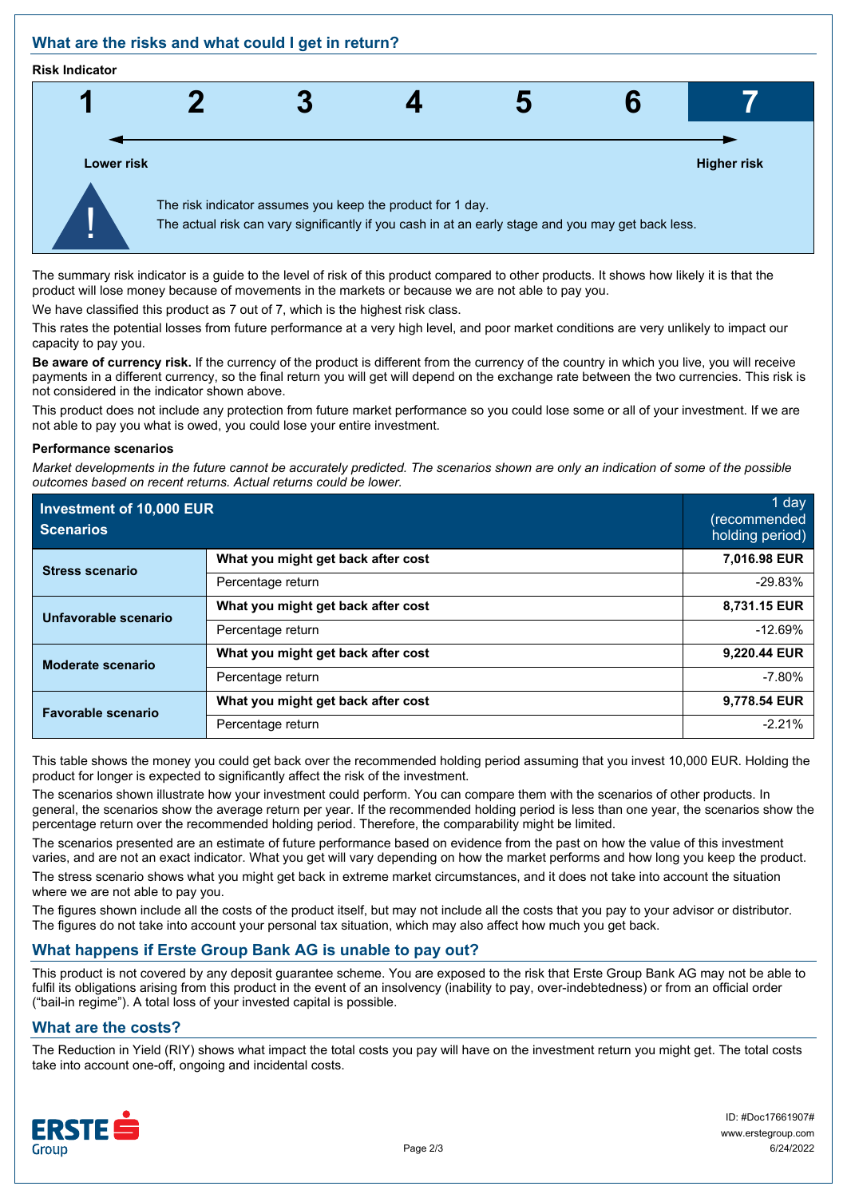# **What are the risks and what could I get in return?**

#### **Risk Indicator**



The summary risk indicator is a guide to the level of risk of this product compared to other products. It shows how likely it is that the product will lose money because of movements in the markets or because we are not able to pay you.

We have classified this product as 7 out of 7, which is the highest risk class.

This rates the potential losses from future performance at a very high level, and poor market conditions are very unlikely to impact our capacity to pay you.

**Be aware of currency risk.** If the currency of the product is different from the currency of the country in which you live, you will receive payments in a different currency, so the final return you will get will depend on the exchange rate between the two currencies. This risk is not considered in the indicator shown above.

This product does not include any protection from future market performance so you could lose some or all of your investment. If we are not able to pay you what is owed, you could lose your entire investment.

#### **Performance scenarios**

*Market developments in the future cannot be accurately predicted. The scenarios shown are only an indication of some of the possible outcomes based on recent returns. Actual returns could be lower.*

| Investment of 10,000 EUR<br><b>Scenarios</b> |                                    | 1 day<br>(recommended<br>holding period) |
|----------------------------------------------|------------------------------------|------------------------------------------|
| <b>Stress scenario</b>                       | What you might get back after cost | 7,016.98 EUR                             |
|                                              | Percentage return                  | $-29.83%$                                |
| Unfavorable scenario                         | What you might get back after cost | 8,731.15 EUR                             |
|                                              | Percentage return                  | $-12.69%$                                |
| <b>Moderate scenario</b>                     | What you might get back after cost | 9,220.44 EUR                             |
|                                              | Percentage return                  | $-7.80%$                                 |
| <b>Favorable scenario</b>                    | What you might get back after cost | 9,778.54 EUR                             |
|                                              | Percentage return                  | $-2.21%$                                 |

This table shows the money you could get back over the recommended holding period assuming that you invest 10,000 EUR. Holding the product for longer is expected to significantly affect the risk of the investment.

The scenarios shown illustrate how your investment could perform. You can compare them with the scenarios of other products. In general, the scenarios show the average return per year. If the recommended holding period is less than one year, the scenarios show the percentage return over the recommended holding period. Therefore, the comparability might be limited.

The scenarios presented are an estimate of future performance based on evidence from the past on how the value of this investment varies, and are not an exact indicator. What you get will vary depending on how the market performs and how long you keep the product.

The stress scenario shows what you might get back in extreme market circumstances, and it does not take into account the situation where we are not able to pay you.

The figures shown include all the costs of the product itself, but may not include all the costs that you pay to your advisor or distributor. The figures do not take into account your personal tax situation, which may also affect how much you get back.

# **What happens if Erste Group Bank AG is unable to pay out?**

This product is not covered by any deposit guarantee scheme. You are exposed to the risk that Erste Group Bank AG may not be able to fulfil its obligations arising from this product in the event of an insolvency (inability to pay, over-indebtedness) or from an official order ("bail-in regime"). A total loss of your invested capital is possible.

# **What are the costs?**

The Reduction in Yield (RIY) shows what impact the total costs you pay will have on the investment return you might get. The total costs take into account one-off, ongoing and incidental costs.